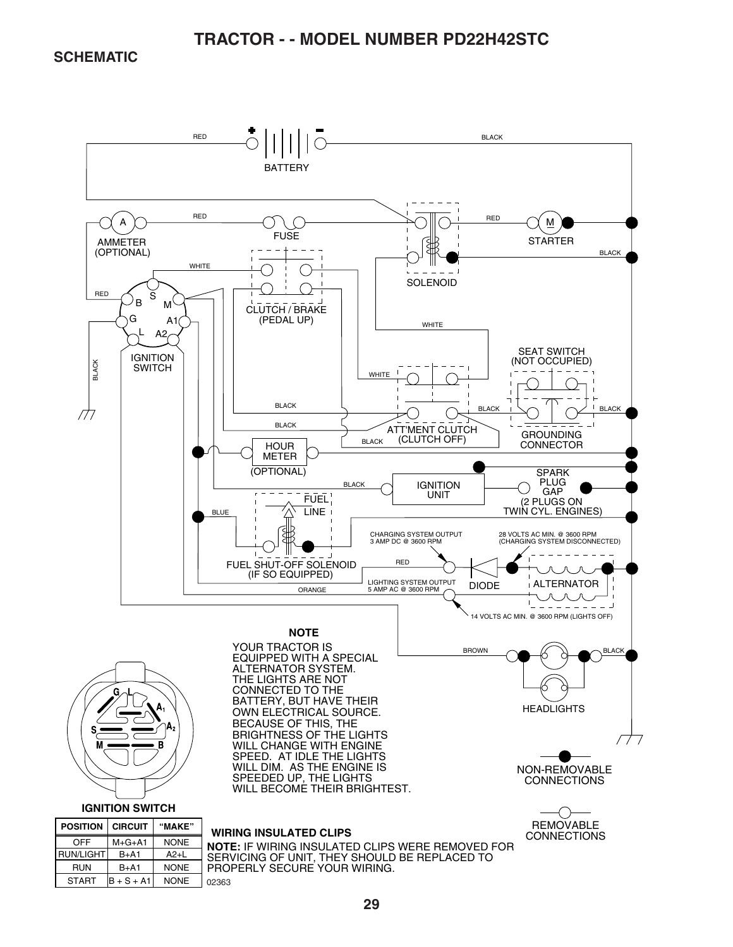**SCHEMATIC** 

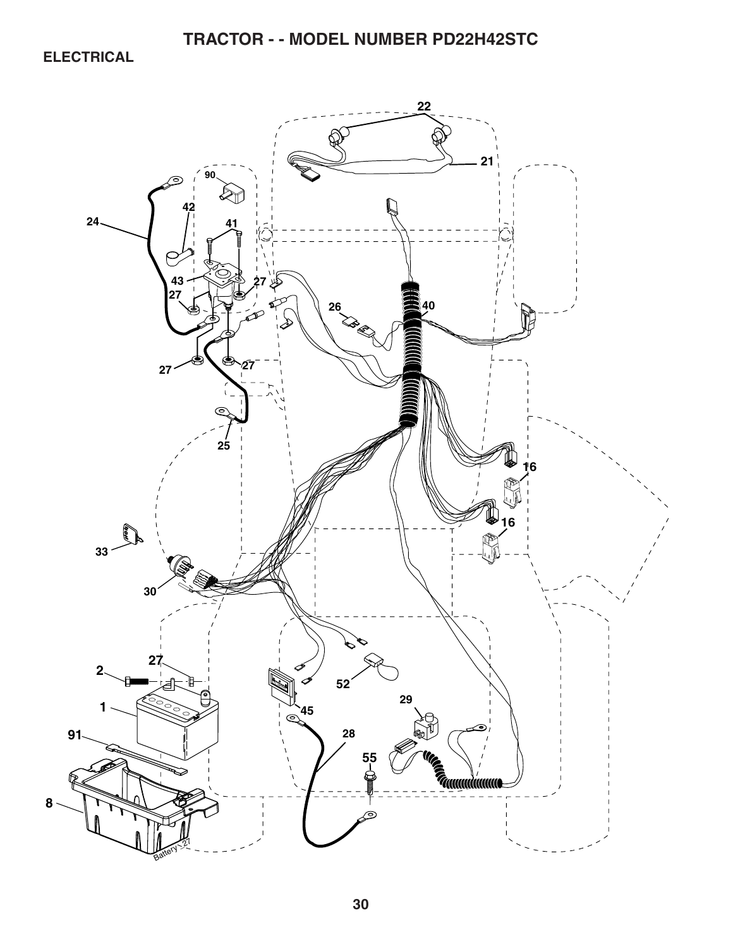**ELECTRICAL** 

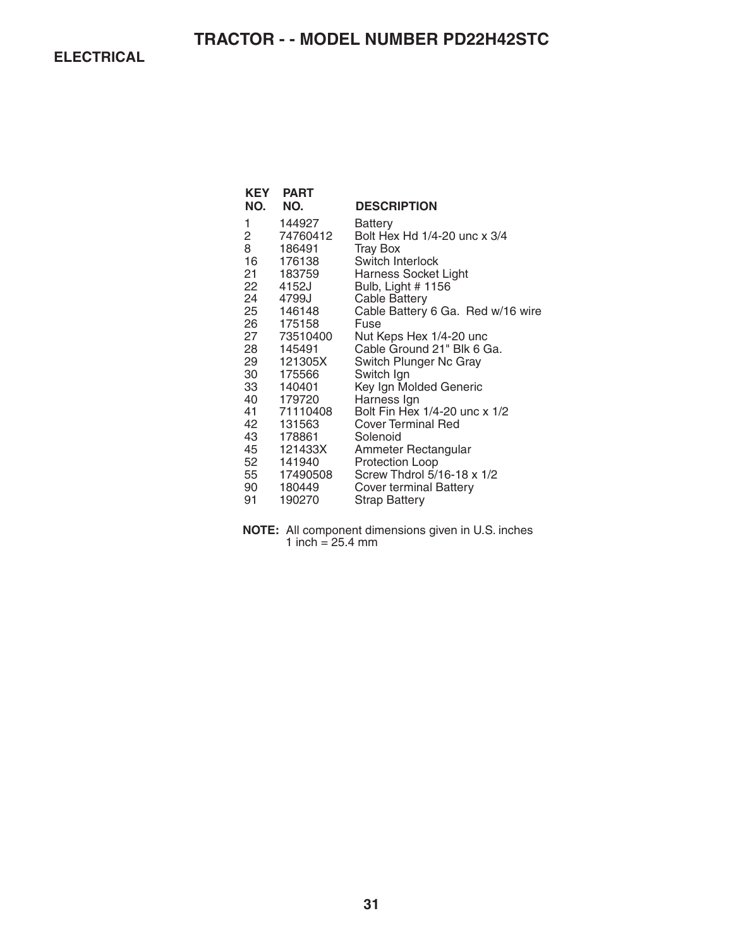**ELECTRICAL** 

| KEY<br>NO. | <b>PART</b><br>NO.    | <b>DESCRIPTION</b>                                    |
|------------|-----------------------|-------------------------------------------------------|
| 1<br>2     | 144927<br>74760412    | Battery<br>Bolt Hex Hd 1/4-20 unc x 3/4               |
| 8          | 186491                | Tray Box                                              |
| 16 —       | 176138                | Switch Interlock                                      |
| 21 —       | 183759                | Harness Socket Light                                  |
| 22         | 4152J                 | Bulb, Light # 1156                                    |
| 24         | 4799J                 | <b>Cable Battery</b>                                  |
| 25         | 146148                | Cable Battery 6 Ga. Red w/16 wire                     |
| 26 —       | 175158                | Fuse                                                  |
| 28         | 27 73510400<br>145491 | Nut Keps Hex 1/4-20 unc<br>Cable Ground 21" Blk 6 Ga. |
| 29         | 121305X               |                                                       |
| 30         | 175566                | Switch Plunger Nc Gray<br>Switch Ign                  |
| 33         | 140401                | Key Ign Molded Generic                                |
|            | 40 179720             | Harness Ign                                           |
| 41         | 71110408              | Bolt Fin Hex 1/4-20 unc x 1/2                         |
| 42         | 131563                | <b>Cover Terminal Red</b>                             |
| 43         | 178861                | Solenoid                                              |
| 45         | 121433X               | Ammeter Rectangular                                   |
| 52         | 141940                | <b>Protection Loop</b>                                |
|            | 55 17490508           | Screw Thdrol 5/16-18 x 1/2                            |
| 90 —       | 180449                | Cover terminal Battery                                |
| 91         | 190270                | Strap Battery                                         |

**NOTE:** All component dimensions given in U.S. inches 1 inch = 25.4 mm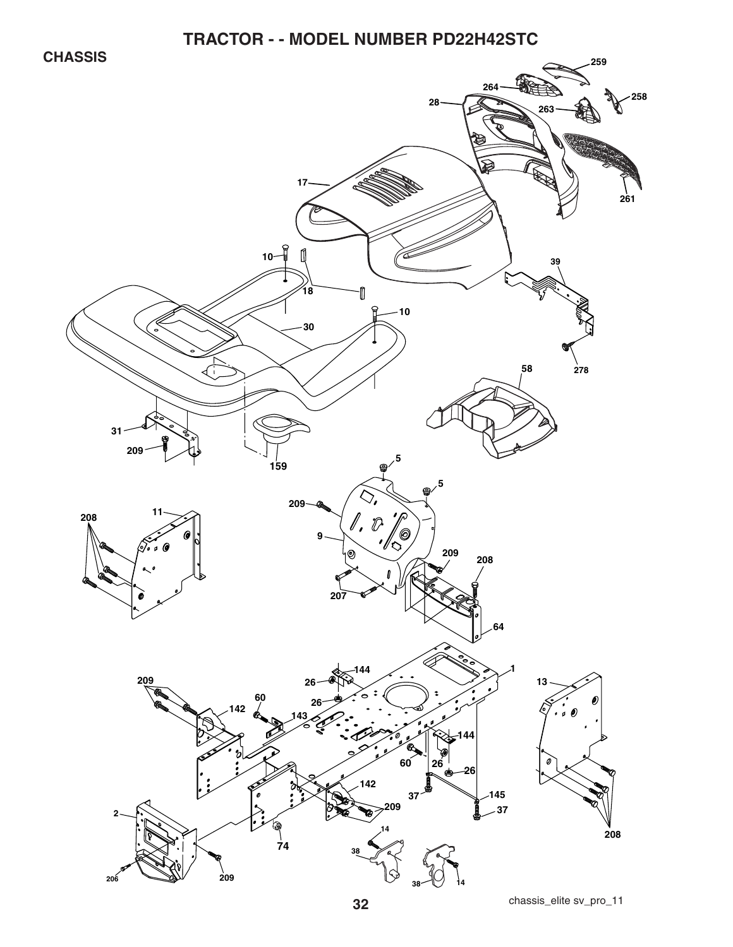**CHASSIS** 

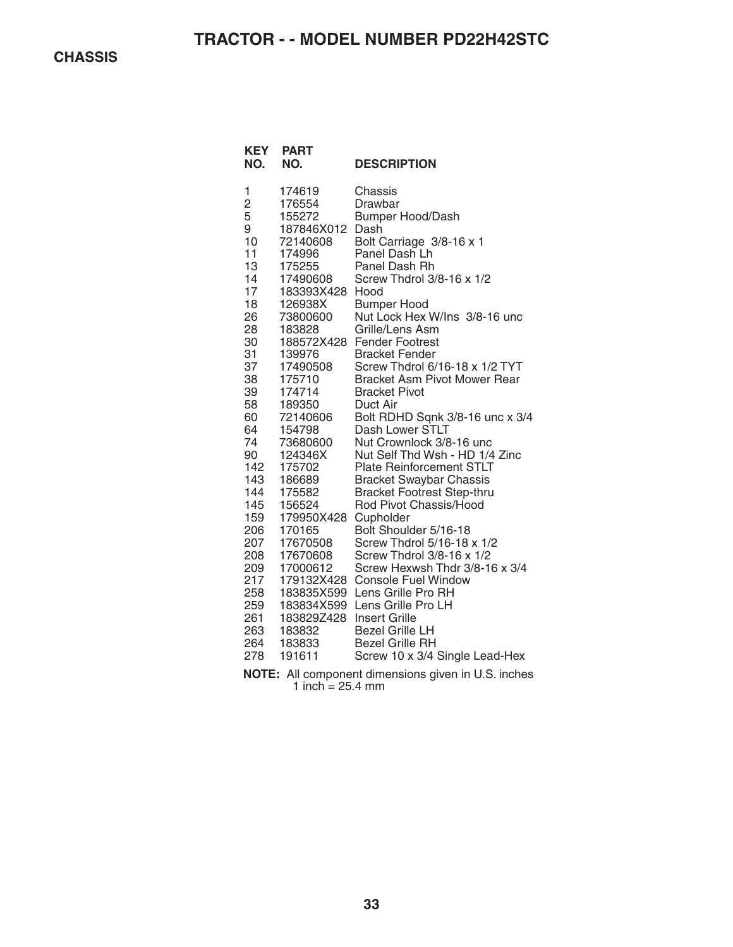| <b>KEY</b><br>NO. | <b>PART</b><br>NO. | <b>DESCRIPTION</b>                                                                       |
|-------------------|--------------------|------------------------------------------------------------------------------------------|
| 1                 | 174619             | Chassis                                                                                  |
| $\overline{c}$    | 176554             | Drawbar                                                                                  |
| 5                 | 155272             | <b>Bumper Hood/Dash</b>                                                                  |
| 9                 | 187846X012         | Dash                                                                                     |
| 10                | 72140608           | Bolt Carriage 3/8-16 x 1                                                                 |
| 11                | 174996             | Panel Dash Lh                                                                            |
| 13                | 175255             | Panel Dash Rh                                                                            |
| 14                | 17490608           | Screw Thdrol 3/8-16 x 1/2                                                                |
| 17                | 183393X428         | Hood                                                                                     |
| 18                | 126938X            | <b>Bumper Hood</b>                                                                       |
| 26                | 73800600           | Nut Lock Hex W/Ins 3/8-16 unc                                                            |
| 28                | 183828             | Grille/Lens Asm                                                                          |
| 30                | 188572X428         | <b>Fender Footrest</b>                                                                   |
| 31                | 139976             | <b>Bracket Fender</b>                                                                    |
| 37                | 17490508           | Screw Thdrol 6/16-18 x 1/2 TYT                                                           |
| 38                | 175710             | <b>Bracket Asm Pivot Mower Rear</b>                                                      |
| 39                | 174714             | <b>Bracket Pivot</b>                                                                     |
| 58                | 189350             | Duct Air                                                                                 |
| 60                | 72140606           | Bolt RDHD Sqnk 3/8-16 unc x 3/4                                                          |
| 64                | 154798             | Dash Lower STLT                                                                          |
| 74                | 73680600           | Nut Crownlock 3/8-16 unc                                                                 |
| 90                | 124346X            | Nut Self Thd Wsh - HD 1/4 Zinc                                                           |
| 142               | 175702             | <b>Plate Reinforcement STLT</b>                                                          |
| 143               | 186689             | <b>Bracket Swaybar Chassis</b>                                                           |
| 144               | 175582             | <b>Bracket Footrest Step-thru</b>                                                        |
| 145               | 156524             | Rod Pivot Chassis/Hood                                                                   |
| 159               | 179950X428         | Cupholder                                                                                |
| 206               | 170165             | Bolt Shoulder 5/16-18                                                                    |
| 207               | 17670508           | Screw Thdrol 5/16-18 x 1/2                                                               |
| 208               | 17670608           | Screw Thdrol 3/8-16 x 1/2                                                                |
| 209               | 17000612           | Screw Hexwsh Thdr 3/8-16 x 3/4                                                           |
| 217               | 179132X428         | <b>Console Fuel Window</b>                                                               |
| 258               | 183835X599         | Lens Grille Pro RH                                                                       |
| 259               | 183834X599         | Lens Grille Pro LH                                                                       |
| 261               | 183829Z428         | <b>Insert Grille</b>                                                                     |
| 263               | 183832             | <b>Bezel Grille LH</b>                                                                   |
| 264               | 183833             | <b>Bezel Grille RH</b>                                                                   |
| 278               | 191611             | Screw 10 x 3/4 Single Lead-Hex                                                           |
| 1077              | A 11               | . The second contract is a second contract of $\alpha$ , the second contract of $\alpha$ |

**NOTE:** All component dimensions given in U.S. inches 1 inch  $= 25.4$  mm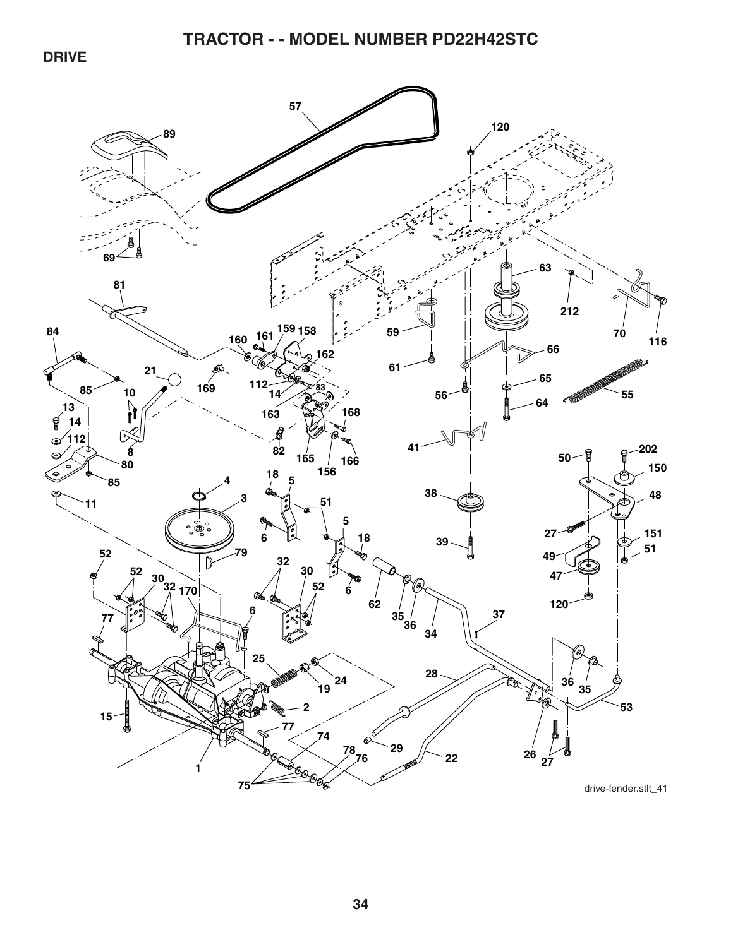**DRIVE** 

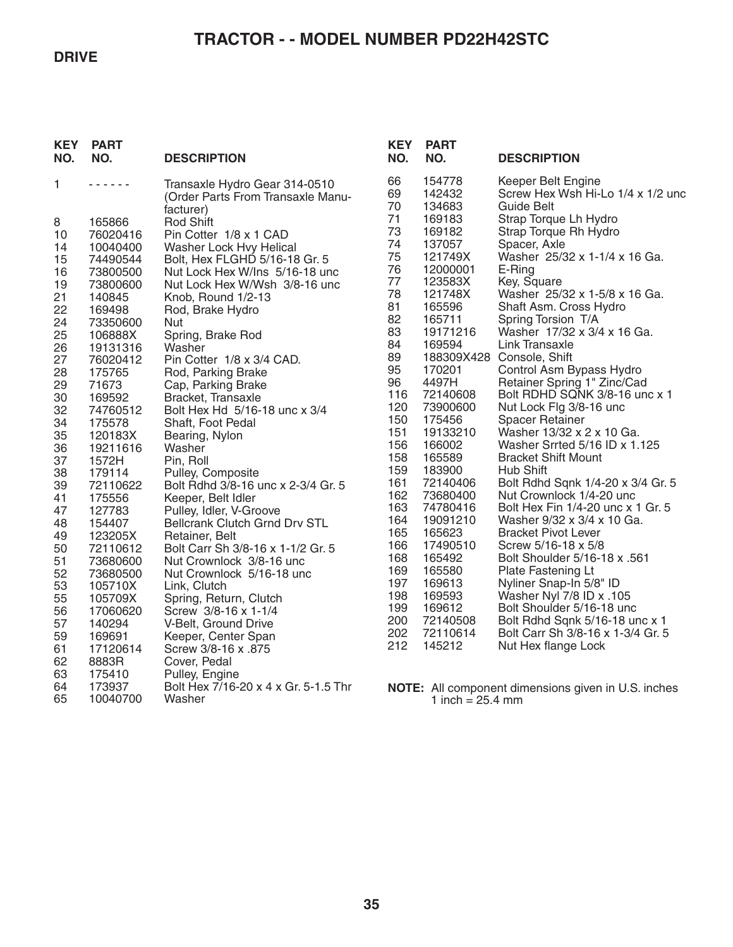#### **DRIVE**

# **TRACTOR - - MODEL NUMBER PD22H42STC**

| <b>KEY</b><br>NO. | <b>PART</b><br>NO.   | <b>DESCRIPTION</b>                                                              | <b>KEY</b><br>NO. | <b>PART</b><br>NO.         | <b>DESCRIPTION</b>                                                           |
|-------------------|----------------------|---------------------------------------------------------------------------------|-------------------|----------------------------|------------------------------------------------------------------------------|
| 1.                | .                    | Transaxle Hydro Gear 314-0510<br>(Order Parts From Transaxle Manu-<br>facturer) | 66<br>69<br>70    | 154778<br>142432<br>134683 | Keeper Belt Engine<br>Screw Hex Wsh Hi-Lo 1/4 x 1/2 unc<br><b>Guide Belt</b> |
| 8                 | 165866               | <b>Rod Shift</b>                                                                | 71                | 169183                     | Strap Torque Lh Hydro                                                        |
| 10                | 76020416             | Pin Cotter 1/8 x 1 CAD                                                          | 73                | 169182                     | Strap Torque Rh Hydro                                                        |
| 14                | 10040400             | Washer Lock Hvy Helical                                                         | 74<br>75          | 137057<br>121749X          | Spacer, Axle<br>Washer 25/32 x 1-1/4 x 16 Ga.                                |
| 15<br>16          | 74490544<br>73800500 | Bolt, Hex FLGHD 5/16-18 Gr. 5<br>Nut Lock Hex W/Ins 5/16-18 unc                 | 76                | 12000001                   | E-Ring                                                                       |
| 19                | 73800600             | Nut Lock Hex W/Wsh 3/8-16 unc                                                   | 77                | 123583X                    | Key, Square                                                                  |
| 21                | 140845               | Knob, Round 1/2-13                                                              | 78                | 121748X                    | Washer 25/32 x 1-5/8 x 16 Ga.                                                |
| 22                | 169498               | Rod, Brake Hydro                                                                | 81                | 165596                     | Shaft Asm. Cross Hydro                                                       |
| 24                | 73350600             | Nut                                                                             | 82                | 165711                     | Spring Torsion T/A                                                           |
| 25                | 106888X              | Spring, Brake Rod                                                               | 83<br>84          | 19171216<br>169594         | Washer 17/32 x 3/4 x 16 Ga.<br>Link Transaxle                                |
| 26<br>27          | 19131316<br>76020412 | Washer<br>Pin Cotter 1/8 x 3/4 CAD.                                             | 89                |                            | 188309X428 Console, Shift                                                    |
| 28                | 175765               | Rod, Parking Brake                                                              | 95                | 170201                     | Control Asm Bypass Hydro                                                     |
| 29                | 71673                | Cap, Parking Brake                                                              | 96                | 4497H                      | Retainer Spring 1" Zinc/Cad                                                  |
| 30                | 169592               | Bracket, Transaxle                                                              | 116               | 72140608                   | Bolt RDHD SQNK 3/8-16 unc x 1                                                |
| 32                | 74760512             | Bolt Hex Hd 5/16-18 unc x 3/4                                                   | 120               | 73900600                   | Nut Lock Flg 3/8-16 unc                                                      |
| 34                | 175578               | Shaft, Foot Pedal                                                               | 150<br>151        | 175456<br>19133210         | <b>Spacer Retainer</b><br>Washer 13/32 x 2 x 10 Ga.                          |
| 35<br>36          | 120183X<br>19211616  | Bearing, Nylon<br>Washer                                                        | 156               | 166002                     | Washer Srrted 5/16 ID x 1.125                                                |
| 37                | 1572H                | Pin, Roll                                                                       | 158               | 165589                     | <b>Bracket Shift Mount</b>                                                   |
| 38                | 179114               | Pulley, Composite                                                               | 159               | 183900                     | <b>Hub Shift</b>                                                             |
| 39                | 72110622             | Bolt Rdhd 3/8-16 unc x 2-3/4 Gr. 5                                              | 161               | 72140406                   | Bolt Rdhd Sqnk 1/4-20 x 3/4 Gr. 5                                            |
| 41                | 175556               | Keeper, Belt Idler                                                              | 162<br>163        | 73680400<br>74780416       | Nut Crownlock 1/4-20 unc<br>Bolt Hex Fin 1/4-20 unc x 1 Gr. 5                |
| 47<br>48          | 127783<br>154407     | Pulley, Idler, V-Groove<br><b>Bellcrank Clutch Grnd Drv STL</b>                 | 164               | 19091210                   | Washer 9/32 x 3/4 x 10 Ga.                                                   |
| 49                | 123205X              | Retainer, Belt                                                                  | 165               | 165623                     | <b>Bracket Pivot Lever</b>                                                   |
| 50                | 72110612             | Bolt Carr Sh 3/8-16 x 1-1/2 Gr. 5                                               | 166               | 17490510                   | Screw 5/16-18 x 5/8                                                          |
| 51                | 73680600             | Nut Crownlock 3/8-16 unc                                                        | 168               | 165492                     | Bolt Shoulder 5/16-18 x .561                                                 |
| 52                | 73680500             | Nut Crownlock 5/16-18 unc                                                       | 169<br>197        | 165580<br>169613           | Plate Fastening Lt                                                           |
| 53                | 105710X              | Link, Clutch                                                                    | 198               | 169593                     | Nyliner Snap-In 5/8" ID<br>Washer Nyl 7/8 ID x .105                          |
| 55<br>56          | 105709X<br>17060620  | Spring, Return, Clutch<br>Screw 3/8-16 x 1-1/4                                  | 199               | 169612                     | Bolt Shoulder 5/16-18 unc                                                    |
| 57                | 140294               | V-Belt, Ground Drive                                                            | 200               | 72140508                   | Bolt Rdhd Sqnk 5/16-18 unc x 1                                               |
| 59                | 169691               | Keeper, Center Span                                                             | 202               | 72110614                   | Bolt Carr Sh 3/8-16 x 1-3/4 Gr. 5                                            |
| 61                | 17120614             | Screw 3/8-16 x .875                                                             | 212               | 145212                     | Nut Hex flange Lock                                                          |
| 62                | 8883R                | Cover, Pedal                                                                    |                   |                            |                                                                              |
| 63<br>64          | 175410               | Pulley, Engine<br>Bolt Hex 7/16-20 x 4 x Gr. 5-1.5 Thr                          |                   |                            |                                                                              |
| 65                | 173937<br>10040700   | Washer                                                                          |                   | 1 inch = $25.4$ mm         | <b>NOTE:</b> All component dimensions given in U.S. inches                   |
|                   |                      |                                                                                 |                   |                            |                                                                              |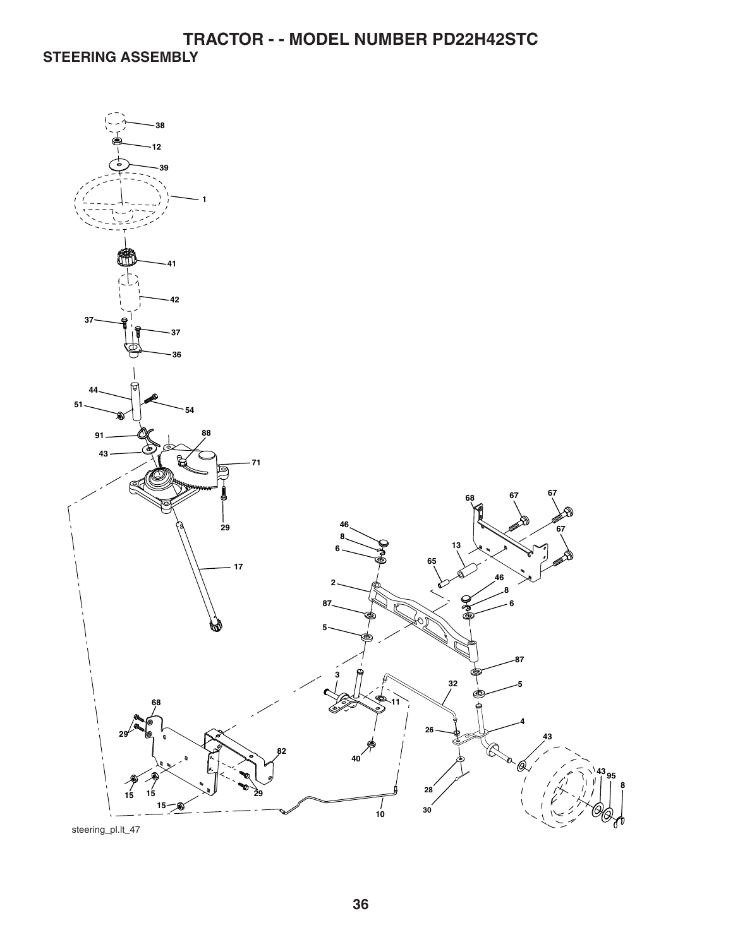**TRACTOR - - MODEL NUMBER PD22H42STC STEERING ASSEMBLY** 

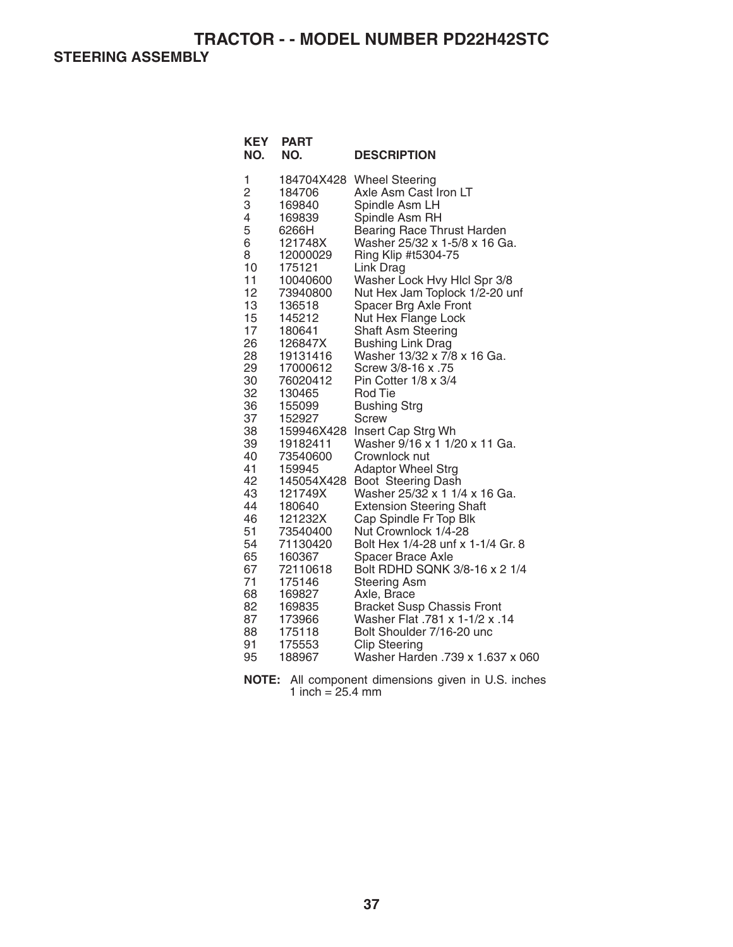**STEERING ASSEMBLY** 

| <b>KEY</b><br>NO.                                                                                                                                                                                                                            | <b>PART</b><br>NO.                                                                                                                                                                                                                                                                                                                                                                                                        | <b>DESCRIPTION</b>                                                                                                                                                                                                                                                                                                                                                                                                                                                                                                                                                                                                                                                                                                                                                                                                                                                                                                                                                                                                                                           |
|----------------------------------------------------------------------------------------------------------------------------------------------------------------------------------------------------------------------------------------------|---------------------------------------------------------------------------------------------------------------------------------------------------------------------------------------------------------------------------------------------------------------------------------------------------------------------------------------------------------------------------------------------------------------------------|--------------------------------------------------------------------------------------------------------------------------------------------------------------------------------------------------------------------------------------------------------------------------------------------------------------------------------------------------------------------------------------------------------------------------------------------------------------------------------------------------------------------------------------------------------------------------------------------------------------------------------------------------------------------------------------------------------------------------------------------------------------------------------------------------------------------------------------------------------------------------------------------------------------------------------------------------------------------------------------------------------------------------------------------------------------|
| 1<br>$\overline{c}$<br>3<br>4<br>5<br>6<br>8<br>10<br>11<br>12<br>13<br>15<br>17<br>26<br>28<br>29<br>30<br>32<br>36<br>37<br>38<br>39<br>40<br>41<br>42<br>43<br>44<br>46<br>51<br>54<br>65<br>67<br>71<br>68<br>82<br>87<br>88<br>91<br>95 | 184706<br>169840<br>169839<br>6266H<br>121748X<br>12000029<br>175121<br>10040600<br>73940800<br>136518<br>145212<br>180641<br>126847X<br>19131416<br>17000612<br>76020412<br>130465<br>155099<br>152927<br>159946X428<br>19182411<br>73540600<br>159945<br>145054X428<br>121749X<br>180640<br>121232X<br>73540400<br>71130420<br>160367<br>72110618<br>175146<br>169827<br>169835<br>173966<br>175118<br>175553<br>188967 | 184704X428 Wheel Steering<br>Axle Asm Cast Iron LT<br>Spindle Asm LH<br>Spindle Asm RH<br>Bearing Race Thrust Harden<br>Washer 25/32 x 1-5/8 x 16 Ga.<br>Ring Klip #t5304-75<br>Link Drag<br>Washer Lock Hvy Hicl Spr 3/8<br>Nut Hex Jam Toplock 1/2-20 unf<br>Spacer Brg Axle Front<br>Nut Hex Flange Lock<br><b>Shaft Asm Steering</b><br><b>Bushing Link Drag</b><br>Washer 13/32 x 7/8 x 16 Ga.<br>Screw 3/8-16 x .75<br>Pin Cotter 1/8 x 3/4<br><b>Rod Tie</b><br><b>Bushing Strg</b><br>Screw<br>Insert Cap Strg Wh<br>Washer 9/16 x 1 1/20 x 11 Ga.<br>Crownlock nut<br><b>Adaptor Wheel Strg</b><br>Boot Steering Dash<br>Washer 25/32 x 1 1/4 x 16 Ga.<br><b>Extension Steering Shaft</b><br>Cap Spindle Fr Top Blk<br>Nut Crownlock 1/4-28<br>Bolt Hex 1/4-28 unf x 1-1/4 Gr. 8<br><b>Spacer Brace Axle</b><br>Bolt RDHD SQNK 3/8-16 x 2 1/4<br><b>Steering Asm</b><br>Axle, Brace<br><b>Bracket Susp Chassis Front</b><br>Washer Flat .781 x 1-1/2 x .14<br>Bolt Shoulder 7/16-20 unc<br><b>Clip Steering</b><br>Washer Harden .739 x 1.637 x 060 |

**NOTE:** All component dimensions given in U.S. inches 1 inch  $= 25.4$  mm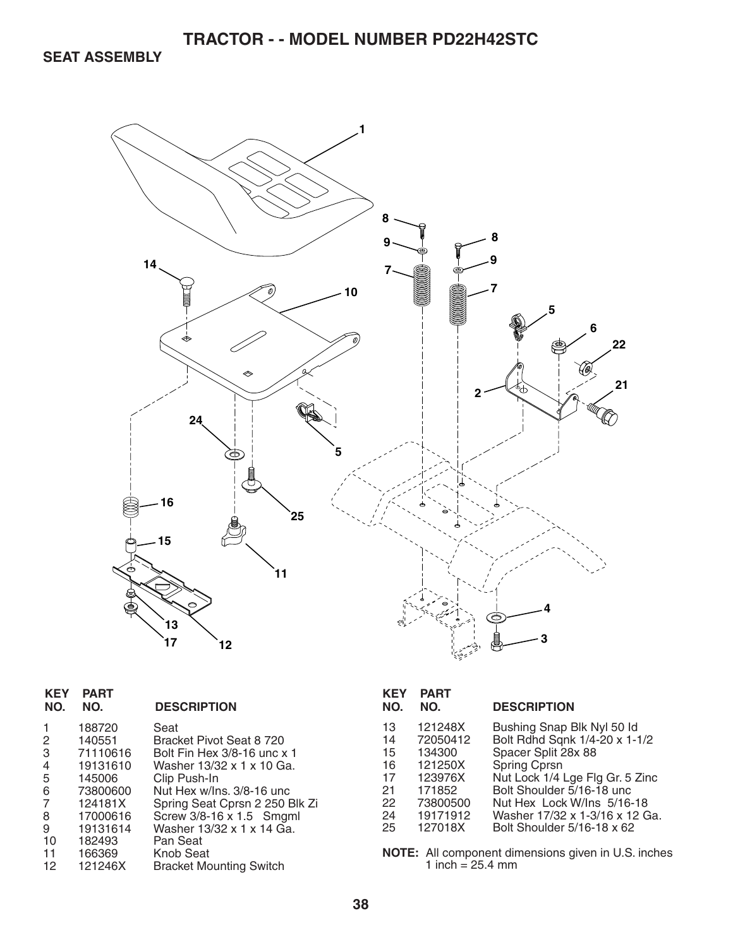**SEAT ASSEMBLY** 



| <b>KEY</b><br>NO.                                           | <b>PART</b><br>NO.                                                                                                               | <b>DESCRIPTION</b>                                                                                                                                                                                                                                                                              |
|-------------------------------------------------------------|----------------------------------------------------------------------------------------------------------------------------------|-------------------------------------------------------------------------------------------------------------------------------------------------------------------------------------------------------------------------------------------------------------------------------------------------|
| 1<br>2<br>3<br>4<br>5<br>6<br>7<br>8<br>9<br>10<br>11<br>12 | 188720<br>140551<br>71110616<br>19131610<br>145006<br>73800600<br>124181X<br>17000616<br>19131614<br>182493<br>166369<br>121246X | Seat<br>Bracket Pivot Seat 8 720<br>Bolt Fin Hex 3/8-16 unc x 1<br>Washer 13/32 x 1 x 10 Ga.<br>Clip Push-In<br>Nut Hex w/Ins. 3/8-16 unc<br>Spring Seat Cprsn 2 250 Blk Zi<br>Screw 3/8-16 x 1.5 Smgml<br>Washer 13/32 x 1 x 14 Ga.<br>Pan Seat<br>Knob Seat<br><b>Bracket Mounting Switch</b> |
|                                                             |                                                                                                                                  |                                                                                                                                                                                                                                                                                                 |

| KEY<br>NO.                                         | <b>PART</b><br>NO.                                                                               | <b>DESCRIPTION</b>                                                                                                                                                                                                                                               |
|----------------------------------------------------|--------------------------------------------------------------------------------------------------|------------------------------------------------------------------------------------------------------------------------------------------------------------------------------------------------------------------------------------------------------------------|
| 13<br>14<br>15<br>16<br>17<br>21<br>22<br>24<br>25 | 121248X<br>72050412<br>134300<br>121250X<br>123976X<br>171852<br>73800500<br>19171912<br>127018X | Bushing Snap Blk Nyl 50 ld<br>Bolt Rdhd Sqnk 1/4-20 x 1-1/2<br>Spacer Split 28x 88<br>Spring Cprsn<br>Nut Lock 1/4 Lge Flg Gr. 5 Zinc<br>Bolt Shoulder 5/16-18 unc<br>Nut Hex Lock W/Ins 5/16-18<br>Washer 17/32 x 1-3/16 x 12 Ga.<br>Bolt Shoulder 5/16-18 x 62 |
|                                                    |                                                                                                  |                                                                                                                                                                                                                                                                  |

**NOTE:** All component dimensions given in U.S. inches 1 inch = 25.4 mm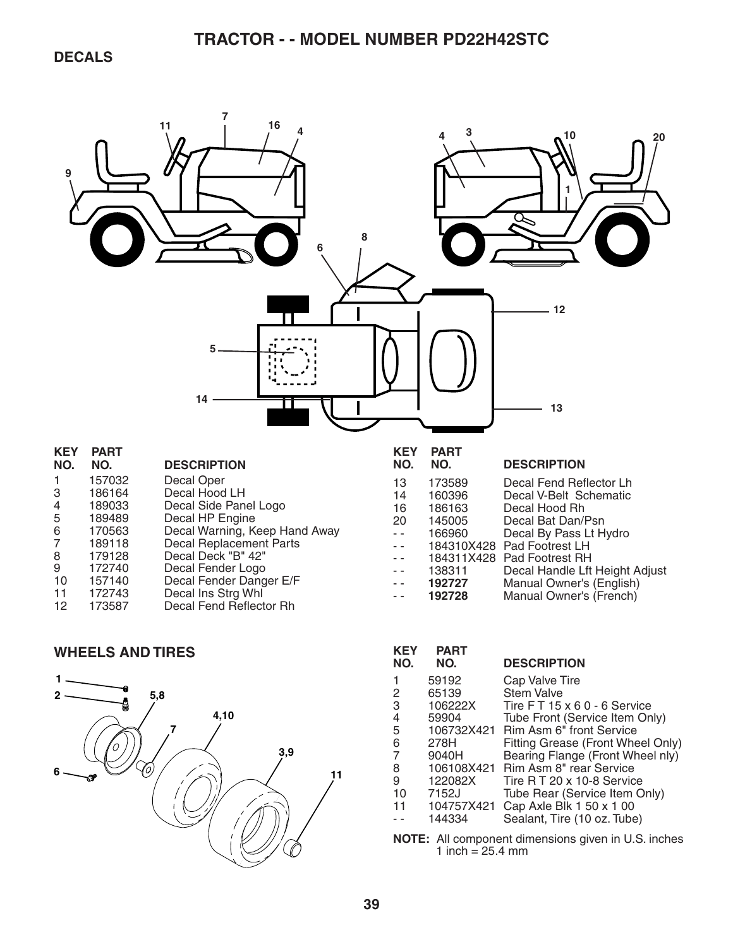

#### **WHEELS AND TIRES**



| <b>KEY</b><br>NO.                                    | <b>PART</b><br>NO. | <b>DESCRIPTION</b>                 |  |
|------------------------------------------------------|--------------------|------------------------------------|--|
| 1                                                    | 59192              | Cap Valve Tire                     |  |
| 2                                                    | 65139              | <b>Stem Valve</b>                  |  |
| 3                                                    | 106222X            | Tire $FT 15 \times 60 - 6$ Service |  |
| 4                                                    | 59904              | Tube Front (Service Item Only)     |  |
| 5                                                    | 106732X421         | <b>Rim Asm 6" front Service</b>    |  |
| 6                                                    | 278H               | Fitting Grease (Front Wheel Only)  |  |
| 7                                                    | 9040H              | Bearing Flange (Front Wheel nly)   |  |
| 8                                                    | 106108X421         | Rim Asm 8" rear Service            |  |
| 9                                                    | 122082X            | Tire R T 20 x 10-8 Service         |  |
| 10                                                   | 7152J              | Tube Rear (Service Item Only)      |  |
| 11                                                   | 104757X421         | Cap Axle Blk 1 50 x 1 00           |  |
|                                                      | 144334             | Sealant, Tire (10 oz. Tube)        |  |
| $MATE:$ All companent dimensions given in LLC inches |                    |                                    |  |

**NOTE:** All component dimensions given in U.S. inches 1 inch =  $25.4 \, \text{mm}$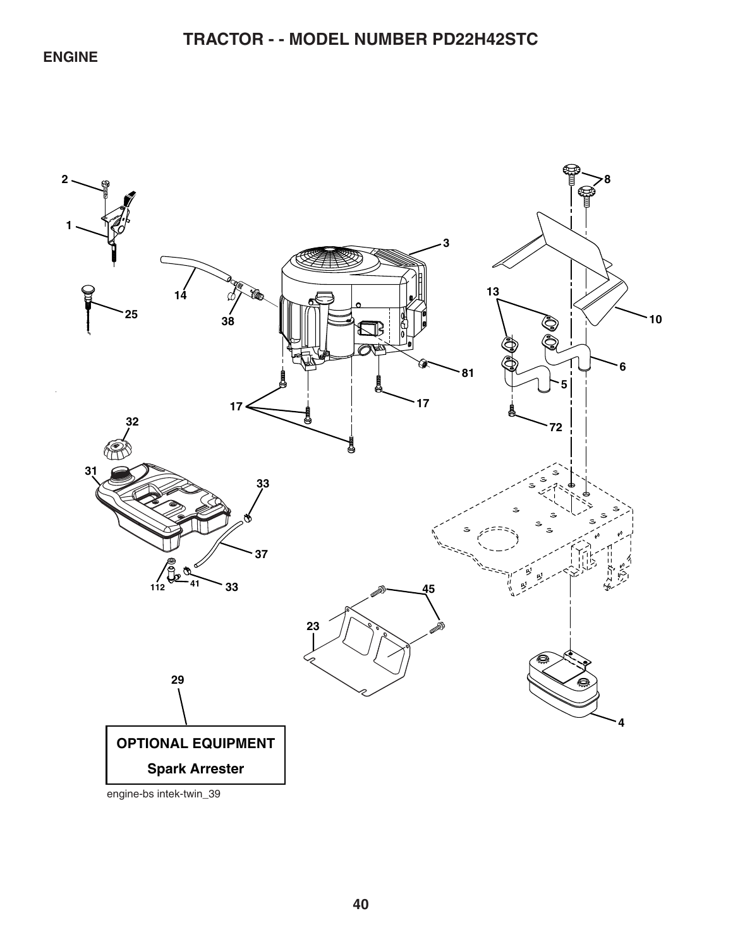## **ENGINE**

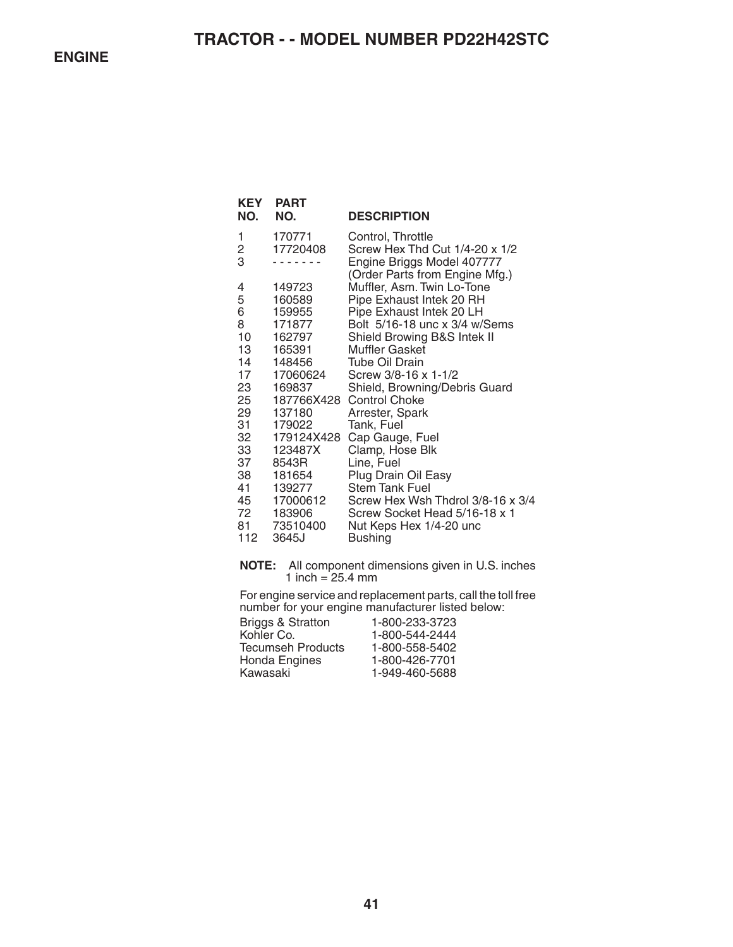| KEY<br>NO. | <b>PART</b><br>NO.   | <b>DESCRIPTION</b>                                           |
|------------|----------------------|--------------------------------------------------------------|
| 1          | 170771               | Control, Throttle                                            |
| 2<br>3     | 17720408             | Screw Hex Thd Cut 1/4-20 x 1/2<br>Engine Briggs Model 407777 |
|            |                      | (Order Parts from Engine Mfg.)                               |
| 4          | 149723               | Muffler, Asm. Twin Lo-Tone                                   |
| 5          | 160589               | Pipe Exhaust Intek 20 RH                                     |
| 6          | 159955               | Pipe Exhaust Intek 20 LH                                     |
| 8<br>10    | 171877<br>162797     | Bolt 5/16-18 unc x 3/4 w/Sems                                |
| 13         | 165391               | Shield Browing B&S Intek II<br>Muffler Gasket                |
| 14         | 148456               | <b>Tube Oil Drain</b>                                        |
| 17         | 17060624             | Screw 3/8-16 x 1-1/2                                         |
| 23         | 169837               | Shield, Browning/Debris Guard                                |
| 25         |                      | 187766X428 Control Choke                                     |
| 29         | 137180               | Arrester, Spark                                              |
| 31<br>32   | 179022<br>179124X428 | Tank, Fuel<br>Cap Gauge, Fuel                                |
| 33         | 123487X              | Clamp, Hose Blk                                              |
| 37         | 8543R                | Line, Fuel                                                   |
| 38         | 181654               | Plug Drain Oil Easy                                          |
| 41         | 139277               | <b>Stem Tank Fuel</b>                                        |
| 45         | 17000612             | Screw Hex Wsh Thdrol 3/8-16 x 3/4                            |
| 72<br>81   | 183906<br>73510400   | Screw Socket Head 5/16-18 x 1<br>Nut Keps Hex 1/4-20 unc     |
| 112        | 3645J                | <b>Bushing</b>                                               |
|            |                      |                                                              |

**NOTE:** All component dimensions given in U.S. inches 1 inch =  $25.4 \text{ mm}$ 

For engine service and replacement parts, call the toll free number for your engine manufacturer listed below:

| 1-800-233-3723 |
|----------------|
| 1-800-544-2444 |
| 1-800-558-5402 |
| 1-800-426-7701 |
| 1-949-460-5688 |
|                |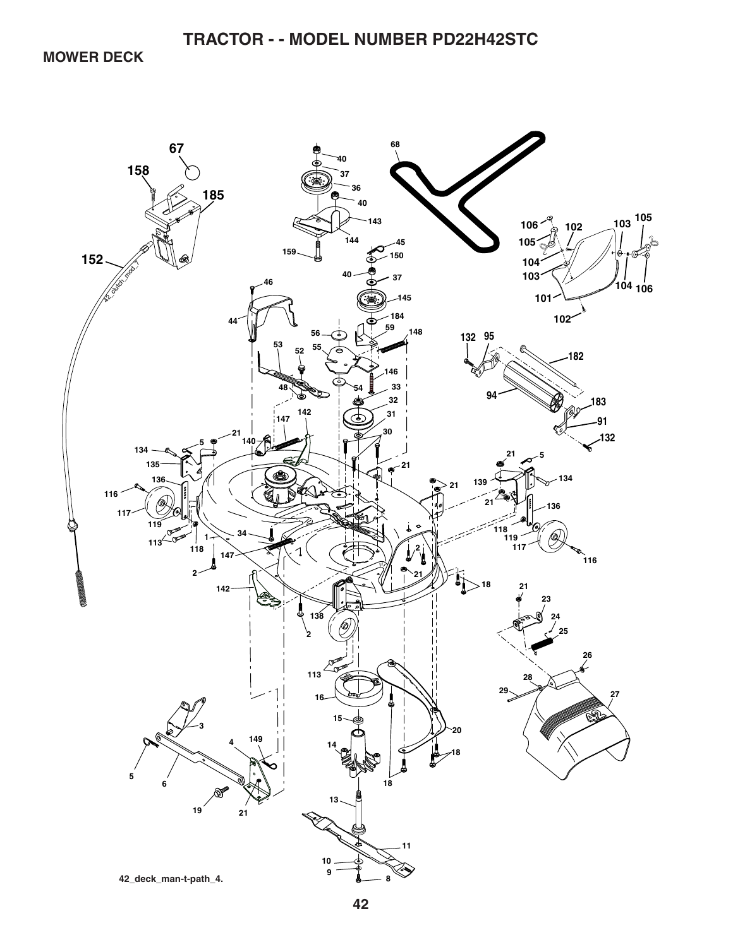**MOWER DECK** 

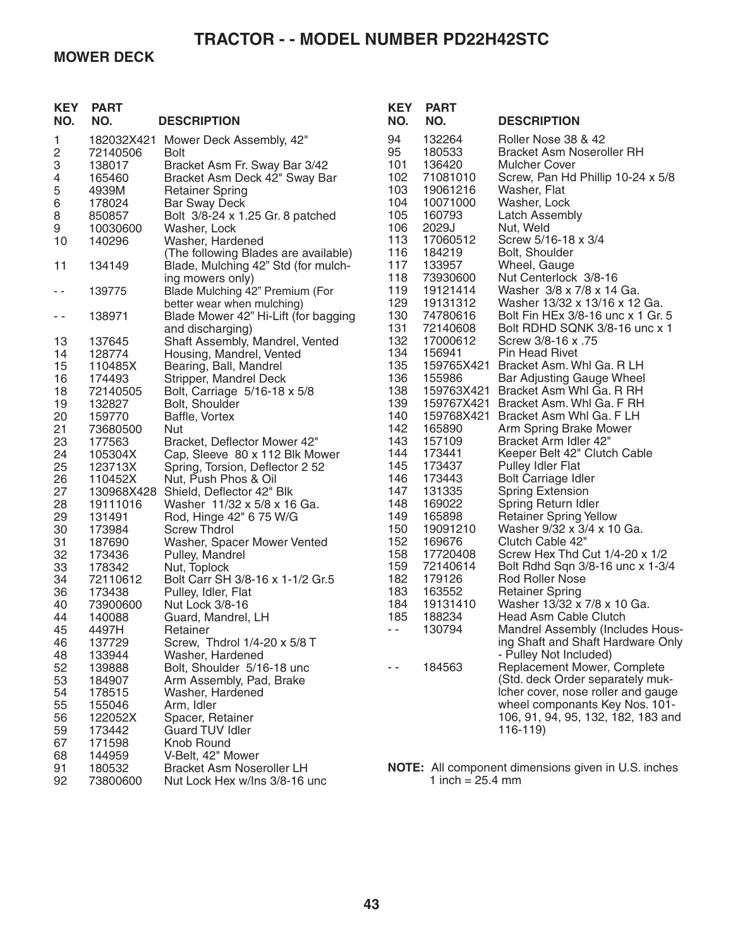### **MOWER DECK**

| <b>KEY</b><br>NO. | <b>PART</b><br>NO. | <b>DESCRIPTION</b>                                     | <b>KEY</b><br>NO. | <b>PART</b><br>NO.   | <b>DESCRIPTION</b>                                    |
|-------------------|--------------------|--------------------------------------------------------|-------------------|----------------------|-------------------------------------------------------|
| 1                 | 182032X421         | Mower Deck Assembly, 42"                               | 94                | 132264               | Roller Nose 38 & 42                                   |
| 2                 | 72140506           | <b>Bolt</b>                                            | 95                | 180533               | <b>Bracket Asm Noseroller RH</b>                      |
| 3                 | 138017             | Bracket Asm Fr. Sway Bar 3/42                          | 101               | 136420               | <b>Mulcher Cover</b>                                  |
| 4                 | 165460             | Bracket Asm Deck 42" Sway Bar                          | 102               | 71081010             | Screw, Pan Hd Phillip 10-24 x 5/8                     |
| 5                 | 4939M              | <b>Retainer Spring</b>                                 | 103               | 19061216             | Washer, Flat                                          |
| $\,6$             | 178024             | <b>Bar Sway Deck</b>                                   | 104               | 10071000             | Washer, Lock                                          |
| 8                 | 850857             | Bolt 3/8-24 x 1.25 Gr. 8 patched                       | 105               | 160793               | <b>Latch Assembly</b>                                 |
| 9                 | 10030600           | Washer, Lock                                           | 106               | 2029J                | Nut, Weld                                             |
| 10                | 140296             | Washer, Hardened                                       | 113               | 17060512             | Screw 5/16-18 x 3/4                                   |
|                   |                    | (The following Blades are available)                   | 116               | 184219               | Bolt, Shoulder                                        |
| 11                | 134149             | Blade, Mulching 42" Std (for mulch-                    | 117               | 133957               | Wheel, Gauge                                          |
|                   |                    | ing mowers only)                                       | 118               | 73930600             | Nut Centerlock 3/8-16                                 |
| $ -$              | 139775             | Blade Mulching 42" Premium (For                        | 119               | 19121414             | Washer 3/8 x 7/8 x 14 Ga.                             |
|                   |                    | better wear when mulching)                             | 129               | 19131312             | Washer 13/32 x 13/16 x 12 Ga.                         |
| $\sim$ $-$        | 138971             | Blade Mower 42" Hi-Lift (for bagging                   | 130               | 74780616             | Bolt Fin HEx 3/8-16 unc x 1 Gr. 5                     |
|                   |                    | and discharging)                                       | 131               | 72140608             | Bolt RDHD SQNK 3/8-16 unc x 1                         |
| 13                | 137645             | Shaft Assembly, Mandrel, Vented                        | 132               | 17000612             | Screw 3/8-16 x .75                                    |
| 14                | 128774             | Housing, Mandrel, Vented                               | 134               | 156941               | <b>Pin Head Rivet</b>                                 |
| 15                | 110485X            | Bearing, Ball, Mandrel                                 | 135<br>136        | 159765X421           | Bracket Asm. Whi Ga. R LH                             |
| 16<br>18          | 174493<br>72140505 | Stripper, Mandrel Deck<br>Bolt, Carriage 5/16-18 x 5/8 | 138               | 155986<br>159763X421 | Bar Adjusting Gauge Wheel<br>Bracket Asm Whl Ga. R RH |
| 19                | 132827             | Bolt, Shoulder                                         | 139               |                      | 159767X421 Bracket Asm. Whl Ga. F RH                  |
| 20                | 159770             | Baffle, Vortex                                         | 140               | 159768X421           | Bracket Asm Whl Ga. F LH                              |
| 21                | 73680500           | <b>Nut</b>                                             | 142               | 165890               | Arm Spring Brake Mower                                |
| 23                | 177563             | Bracket, Deflector Mower 42"                           | 143               | 157109               | Bracket Arm Idler 42"                                 |
| 24                | 105304X            | Cap, Sleeve 80 x 112 Blk Mower                         | 144               | 173441               | Keeper Belt 42" Clutch Cable                          |
| 25                | 123713X            | Spring, Torsion, Deflector 2 52                        | 145               | 173437               | Pulley Idler Flat                                     |
| 26                | 110452X            | Nut, Push Phos & Oil                                   | 146               | 173443               | <b>Bolt Carriage Idler</b>                            |
| 27                | 130968X428         | Shield, Deflector 42" Blk                              | 147               | 131335               | <b>Spring Extension</b>                               |
| 28                | 19111016           | Washer 11/32 x 5/8 x 16 Ga.                            | 148               | 169022               | Spring Return Idler                                   |
| 29                | 131491             | Rod, Hinge 42" 6 75 W/G                                | 149               | 165898               | <b>Retainer Spring Yellow</b>                         |
| 30                | 173984             | <b>Screw Thdrol</b>                                    | 150               | 19091210             | Washer 9/32 x 3/4 x 10 Ga.                            |
| 31                | 187690             | Washer, Spacer Mower Vented                            | 152               | 169676               | Clutch Cable 42"                                      |
| 32                | 173436             | Pulley, Mandrel                                        | 158               | 17720408             | Screw Hex Thd Cut 1/4-20 x 1/2                        |
| 33                | 178342             | Nut, Toplock                                           | 159               | 72140614             | Bolt Rdhd Sqn 3/8-16 unc x 1-3/4                      |
| 34                | 72110612           | Bolt Carr SH 3/8-16 x 1-1/2 Gr.5                       | 182               | 179126               | <b>Rod Roller Nose</b>                                |
| 36                | 173438             | Pulley, Idler, Flat                                    | 183               | 163552               | <b>Retainer Spring</b>                                |
| 40                | 73900600           | Nut Lock 3/8-16                                        | 184               | 19131410             | Washer 13/32 x 7/8 x 10 Ga.                           |
| 44                | 140088             | Guard, Mandrel, LH                                     | 185               | 188234               | Head Asm Cable Clutch                                 |
| 45                | 4497H              | Retainer                                               | $\sim$ $-$        | 130794               | Mandrel Assembly (Includes Hous-                      |
| 46                | 137729             | Screw, Thdrol 1/4-20 x 5/8 T                           |                   |                      | ing Shaft and Shaft Hardware Only                     |
| 48                | 133944             | Washer, Hardened                                       |                   |                      | - Pulley Not Included)                                |
| 52                | 139888             | Bolt, Shoulder 5/16-18 unc                             | $ -$              | 184563               | Replacement Mower, Complete                           |
| 53                | 184907             | Arm Assembly, Pad, Brake                               |                   |                      | (Std. deck Order separately muk-                      |
| 54                | 178515             | Washer, Hardened                                       |                   |                      | Icher cover, nose roller and gauge                    |
| 55                | 155046             | Arm, Idler                                             |                   |                      | wheel componants Key Nos. 101-                        |
| 56                | 122052X            | Spacer, Retainer                                       |                   |                      | 106, 91, 94, 95, 132, 182, 183 and                    |
| 59                | 173442             | <b>Guard TUV Idler</b>                                 |                   |                      | 116-119)                                              |
| 67                | 171598             | Knob Round                                             |                   |                      |                                                       |
| 68                | 144959             | V-Belt, 42" Mower                                      |                   |                      |                                                       |
| 91                | 180532             | <b>Bracket Asm Noseroller LH</b>                       |                   |                      | NOTE: All component dimensions given in U.S. inches   |
| 92                | 73800600           | Nut Lock Hex w/Ins 3/8-16 unc                          |                   | 1 inch = $25.4$ mm   |                                                       |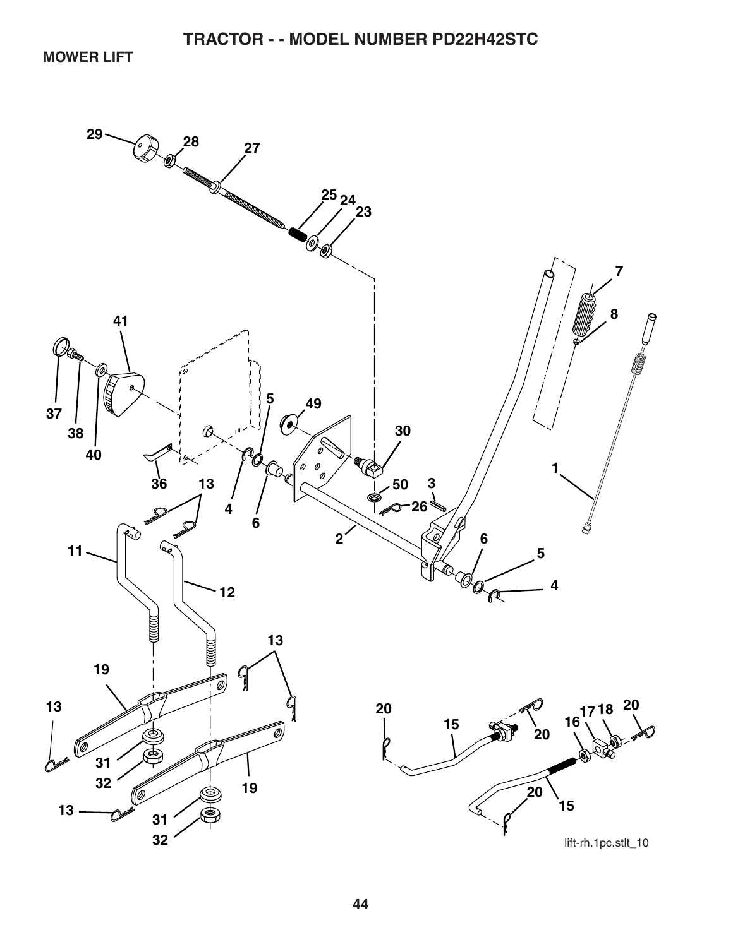